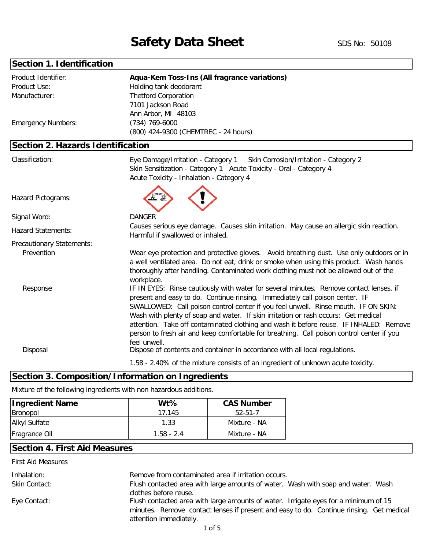# **Section 1. Identification**

| Product Identifier:<br>Product Use:<br>Manufacturer:<br><b>Emergency Numbers:</b> | Aqua-Kem Toss-Ins (All fragrance variations)<br>Holding tank deodorant<br><b>Thetford Corporation</b><br>7101 Jackson Road<br>Ann Arbor, MI 48103<br>$(734)$ 769-6000                                                                                                                                                                                                                                                                                                                                                                                     |
|-----------------------------------------------------------------------------------|-----------------------------------------------------------------------------------------------------------------------------------------------------------------------------------------------------------------------------------------------------------------------------------------------------------------------------------------------------------------------------------------------------------------------------------------------------------------------------------------------------------------------------------------------------------|
|                                                                                   | (800) 424-9300 (CHEMTREC - 24 hours)                                                                                                                                                                                                                                                                                                                                                                                                                                                                                                                      |
| Section 2. Hazards Identification                                                 |                                                                                                                                                                                                                                                                                                                                                                                                                                                                                                                                                           |
| Classification:                                                                   | Eye Damage/Irritation - Category 1<br>Skin Corrosion/Irritation - Category 2<br>Skin Sensitization - Category 1 Acute Toxicity - Oral - Category 4<br>Acute Toxicity - Inhalation - Category 4                                                                                                                                                                                                                                                                                                                                                            |
| Hazard Pictograms:                                                                |                                                                                                                                                                                                                                                                                                                                                                                                                                                                                                                                                           |
| Signal Word:                                                                      | <b>DANGER</b>                                                                                                                                                                                                                                                                                                                                                                                                                                                                                                                                             |
| <b>Hazard Statements:</b>                                                         | Causes serious eye damage. Causes skin irritation. May cause an allergic skin reaction.<br>Harmful if swallowed or inhaled.                                                                                                                                                                                                                                                                                                                                                                                                                               |
| Precautionary Statements:                                                         |                                                                                                                                                                                                                                                                                                                                                                                                                                                                                                                                                           |
| Prevention                                                                        | Wear eye protection and protective gloves. Avoid breathing dust. Use only outdoors or in<br>a well ventilated area. Do not eat, drink or smoke when using this product. Wash hands<br>thoroughly after handling. Contaminated work clothing must not be allowed out of the<br>workplace.                                                                                                                                                                                                                                                                  |
| Response                                                                          | IF IN EYES: Rinse cautiously with water for several minutes. Remove contact lenses, if<br>present and easy to do. Continue rinsing. Immediately call poison center. IF<br>SWALLOWED: Call poison control center if you feel unwell. Rinse mouth. IF ON SKIN:<br>Wash with plenty of soap and water. If skin irritation or rash occurs: Get medical<br>attention. Take off contaminated clothing and wash it before reuse. IF INHALED: Remove<br>person to fresh air and keep comfortable for breathing. Call poison control center if you<br>feel unwell. |
| Disposal                                                                          | Dispose of contents and container in accordance with all local regulations.                                                                                                                                                                                                                                                                                                                                                                                                                                                                               |
|                                                                                   | 1.58 - 2.40% of the mixture consists of an ingredient of unknown acute toxicity.                                                                                                                                                                                                                                                                                                                                                                                                                                                                          |

# **Section 3. Composition/Information on Ingredients**

Mixture of the following ingredients with non hazardous additions.

| <b>Ingredient Name</b> | W <sub>t</sub> % | <b>CAS Number</b> |
|------------------------|------------------|-------------------|
| Bronopol               | 17.145           | 52-51-7           |
| <b>Alkyl Sulfate</b>   | 1.33             | Mixture - NA      |
| Fragrance Oil          | $1.58 - 2.4$     | Mixture - NA      |

## **Section 4. First Aid Measures**

First Aid Measures

| Inhalation:   | Remove from contaminated area if irritation occurs.                                                               |
|---------------|-------------------------------------------------------------------------------------------------------------------|
|               |                                                                                                                   |
| Skin Contact: | Flush contacted area with large amounts of water. Wash with soap and water. Wash                                  |
|               | clothes before reuse.                                                                                             |
| Eye Contact:  | Flush contacted area with large amounts of water. Irrigate eyes for a minimum of 15                               |
|               | minutes. Remove contact lenses if present and easy to do. Continue rinsing. Get medical<br>attention immediately. |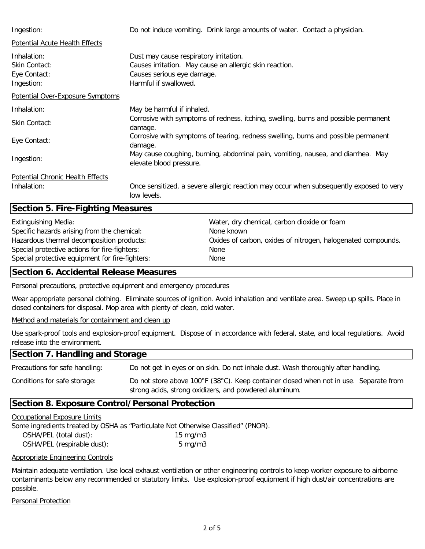| Ingestion:                                                 | Do not induce vomiting. Drink large amounts of water. Contact a physician.                                                                               |
|------------------------------------------------------------|----------------------------------------------------------------------------------------------------------------------------------------------------------|
| <b>Potential Acute Health Effects</b>                      |                                                                                                                                                          |
| Inhalation:<br>Skin Contact:<br>Eye Contact:<br>Ingestion: | Dust may cause respiratory irritation.<br>Causes irritation. May cause an allergic skin reaction.<br>Causes serious eye damage.<br>Harmful if swallowed. |
| <b>Potential Over-Exposure Symptoms</b>                    |                                                                                                                                                          |
| Inhalation:                                                | May be harmful if inhaled.                                                                                                                               |
| Skin Contact:                                              | Corrosive with symptoms of redness, itching, swelling, burns and possible permanent<br>damage.                                                           |
| Eye Contact:                                               | Corrosive with symptoms of tearing, redness swelling, burns and possible permanent<br>damage.                                                            |
| Ingestion:                                                 | May cause coughing, burning, abdominal pain, vomiting, nausea, and diarrhea. May<br>elevate blood pressure.                                              |
| Potential Chronic Health Effects                           |                                                                                                                                                          |
| Inhalation:                                                | Once sensitized, a severe allergic reaction may occur when subsequently exposed to very<br>low levels.                                                   |

## **Section 5. Fire-Fighting Measures**

Specific hazards arising from the chemical: None known Hazardous thermal decomposition products: Special protective actions for fire-fighters: None Special protective equipment for fire-fighters: None

Extinguishing Media: Water, dry chemical, carbon dioxide or foam Oxides of carbon, oxides of nitrogen, halogenated compounds.

## **Section 6. Accidental Release Measures**

Personal precautions, protective equipment and emergency procedures

Wear appropriate personal clothing. Eliminate sources of ignition. Avoid inhalation and ventilate area. Sweep up spills. Place in closed containers for disposal. Mop area with plenty of clean, cold water.

Method and materials for containment and clean up

Use spark-proof tools and explosion-proof equipment. Dispose of in accordance with federal, state, and local regulations. Avoid release into the environment.

#### Precautions for safe handling: Conditions for safe storage: **Section 7. Handling and Storage** Do not store above 100°F (38°C). Keep container closed when not in use. Separate from Do not get in eyes or on skin. Do not inhale dust. Wash thoroughly after handling.

strong acids, strong oxidizers, and powdered aluminum.

## **Section 8. Exposure Control/Personal Protection**

### Occupational Exposure Limits

| Some ingredients treated by OSHA as "Particulate Not Otherwise Classified" (PNOR). |                   |  |
|------------------------------------------------------------------------------------|-------------------|--|
| OSHA/PEL (total dust):                                                             | $15 \text{ mg/m}$ |  |
| OSHA/PEL (respirable dust):                                                        | $5 \text{ mg/m}$  |  |

### Appropriate Engineering Controls

Maintain adequate ventilation. Use local exhaust ventilation or other engineering controls to keep worker exposure to airborne contaminants below any recommended or statutory limits. Use explosion-proof equipment if high dust/air concentrations are possible.

Personal Protection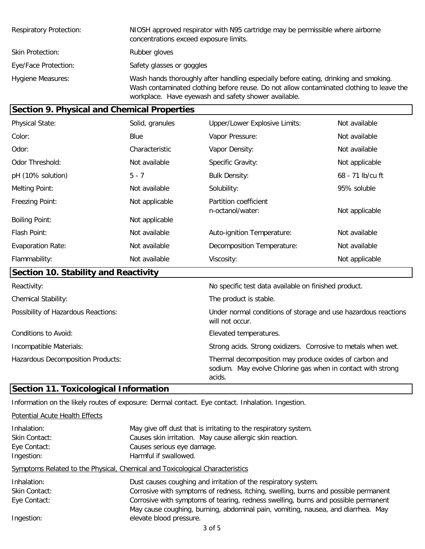| <b>Respiratory Protection:</b> | NIOSH approved respirator with N95 cartridge may be permissible where airborne<br>concentrations exceed exposure limits.                                                                                                                 |
|--------------------------------|------------------------------------------------------------------------------------------------------------------------------------------------------------------------------------------------------------------------------------------|
| <b>Skin Protection:</b>        | Rubber gloves                                                                                                                                                                                                                            |
| Eye/Face Protection:           | Safety glasses or goggles                                                                                                                                                                                                                |
| <b>Hygiene Measures:</b>       | Wash hands thoroughly after handling especially before eating, drinking and smoking.<br>Wash contaminated clothing before reuse. Do not allow contaminated clothing to leave the<br>workplace. Have eyewash and safety shower available. |

| <b>Section 9. Physical and Chemical Properties</b> |                 |                                           |                  |  |
|----------------------------------------------------|-----------------|-------------------------------------------|------------------|--|
| <b>Physical State:</b>                             | Solid, granules | <b>Upper/Lower Explosive Limits:</b>      | Not available    |  |
| Color:                                             | Blue            | Vapor Pressure:                           | Not available    |  |
| Odor:                                              | Characteristic  | Vapor Density:                            | Not available    |  |
| Odor Threshold:                                    | Not available   | <b>Specific Gravity:</b>                  | Not applicable   |  |
| pH (10% solution)                                  | $5 - 7$         | <b>Bulk Density:</b>                      | 68 - 71 lb/cu ft |  |
| Melting Point:                                     | Not available   | Solubility:                               | 95% soluble      |  |
| Freezing Point:                                    | Not applicable  | Partition coefficient<br>n-octanol/water: | Not applicable   |  |
| <b>Boiling Point:</b>                              | Not applicable  |                                           |                  |  |
| Flash Point:                                       | Not available   | Auto-ignition Temperature:                | Not available    |  |
| <b>Evaporation Rate:</b>                           | Not available   | Decomposition Temperature:                | Not available    |  |
| Flammability:                                      | Not available   | Viscosity:                                | Not applicable   |  |
| Section 10. Stability and Reactivity               |                 |                                           |                  |  |

| Reactivity:                         | No specific test data available on finished product.                                                                            |
|-------------------------------------|---------------------------------------------------------------------------------------------------------------------------------|
| <b>Chemical Stability:</b>          | The product is stable.                                                                                                          |
| Possibility of Hazardous Reactions: | Under normal conditions of storage and use hazardous reactions<br>will not occur.                                               |
| Conditions to Avoid:                | Elevated temperatures.                                                                                                          |
| Incompatible Materials:             | Strong acids. Strong oxidizers. Corrosive to metals when wet.                                                                   |
| Hazardous Decomposition Products:   | Thermal decomposition may produce oxides of carbon and<br>sodium. May evolve Chlorine gas when in contact with strong<br>acids. |

## **Section 11. Toxicological Information**

Information on the likely routes of exposure: Dermal contact. Eye contact. Inhalation. Ingestion.

Potential Acute Health Effects Inhalation: May give off dust that is irritating to the respiratory system. Skin Contact: Causes skin irritation. May cause allergic skin reaction. Eye Contact: Causes serious eye damage. Ingestion: **Harmful if swallowed.** Symptoms Related to the Physical, Chemical and Toxicological Characteristics Inhalation: Dust causes coughing and irritation of the respiratory system. Skin Contact: Eye Contact: Ingestion: Corrosive with symptoms of redness, itching, swelling, burns and possible permanent Corrosive with symptoms of tearing, redness swelling, burns and possible permanent May cause coughing, burning, abdominal pain, vomiting, nausea, and diarrhea. May elevate blood pressure.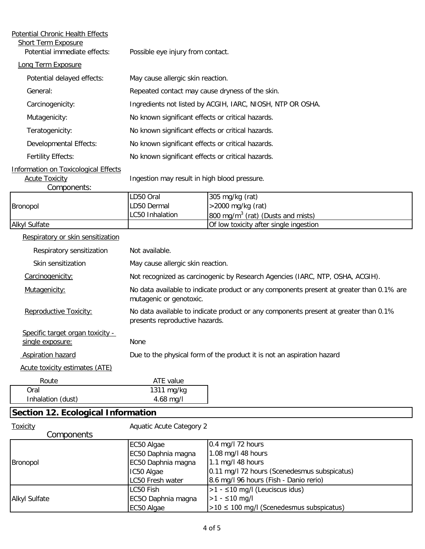| <b>Potential Chronic Health Effects</b>                                             |                                                                                                                        |                                                                               |  |  |
|-------------------------------------------------------------------------------------|------------------------------------------------------------------------------------------------------------------------|-------------------------------------------------------------------------------|--|--|
| Short Term Exposure<br>Potential immediate effects:                                 | Possible eye injury from contact.                                                                                      |                                                                               |  |  |
| Long Term Exposure                                                                  |                                                                                                                        |                                                                               |  |  |
| Potential delayed effects:                                                          | May cause allergic skin reaction.                                                                                      |                                                                               |  |  |
| General:                                                                            | Repeated contact may cause dryness of the skin.                                                                        |                                                                               |  |  |
| Carcinogenicity:                                                                    |                                                                                                                        | Ingredients not listed by ACGIH, IARC, NIOSH, NTP OR OSHA.                    |  |  |
| Mutagenicity:                                                                       | No known significant effects or critical hazards.                                                                      |                                                                               |  |  |
| Teratogenicity:                                                                     | No known significant effects or critical hazards.                                                                      |                                                                               |  |  |
| Developmental Effects:                                                              | No known significant effects or critical hazards.                                                                      |                                                                               |  |  |
| <b>Fertility Effects:</b>                                                           | No known significant effects or critical hazards.                                                                      |                                                                               |  |  |
| <b>Information on Toxicological Effects</b><br><b>Acute Toxicity</b><br>Components: | Ingestion may result in high blood pressure.                                                                           |                                                                               |  |  |
|                                                                                     | LD50 Oral                                                                                                              | 305 mg/kg (rat)                                                               |  |  |
| Bronopol                                                                            | LD50 Dermal<br>LC50 Inhalation                                                                                         | >2000 mg/kg (rat)<br>800 mg/m <sup>3</sup> (rat) (Dusts and mists)            |  |  |
| <b>Alkyl Sulfate</b>                                                                |                                                                                                                        | Of low toxicity after single ingestion                                        |  |  |
| Respiratory or skin sensitization                                                   |                                                                                                                        |                                                                               |  |  |
| Respiratory sensitization                                                           | Not available.                                                                                                         |                                                                               |  |  |
| Skin sensitization                                                                  | May cause allergic skin reaction.                                                                                      |                                                                               |  |  |
| Carcinogenicity:                                                                    |                                                                                                                        | Not recognized as carcinogenic by Research Agencies (IARC, NTP, OSHA, ACGIH). |  |  |
| Mutagenicity:                                                                       | No data available to indicate product or any components present at greater than 0.1% are<br>mutagenic or genotoxic.    |                                                                               |  |  |
| Reproductive Toxicity:                                                              | No data available to indicate product or any components present at greater than 0.1%<br>presents reproductive hazards. |                                                                               |  |  |
| Specific target organ toxicity -<br>single exposure:                                | None                                                                                                                   |                                                                               |  |  |
| <b>Aspiration hazard</b>                                                            |                                                                                                                        | Due to the physical form of the product it is not an aspiration hazard        |  |  |
| Acute toxicity estimates (ATE)                                                      |                                                                                                                        |                                                                               |  |  |
| Route                                                                               | ATE value                                                                                                              |                                                                               |  |  |
| Oral<br>Inhalation (dust)                                                           | $\overline{1311}$ mg/kg<br>4.68 mg/l                                                                                   |                                                                               |  |  |
| <b>Section 12. Ecological Information</b>                                           |                                                                                                                        |                                                                               |  |  |
| <b>Toxicity</b>                                                                     | <b>Aquatic Acute Category 2</b>                                                                                        |                                                                               |  |  |

| <b>Components</b>    |                    |                                               |
|----------------------|--------------------|-----------------------------------------------|
|                      | EC50 Algae         | $0.4$ mg/l 72 hours                           |
|                      | EC50 Daphnia magna | 1.08 mg/l 48 hours                            |
| <b>Bronopol</b>      | EC50 Daphnia magna | $1.1$ mg/l 48 hours                           |
|                      | IC50 Algae         | 0.11 mg/l 72 hours (Scenedesmus subspicatus)  |
|                      | LC50 Fresh water   | 8.6 mg/l 96 hours (Fish - Danio rerio)        |
|                      | LC50 Fish          | $ >1 - \leq 10$ mg/l (Leuciscus idus)         |
| <b>Alkyl Sulfate</b> | EC5O Daphnia magna | $>1 - 10$ mg/l                                |
|                      | EC50 Algae         | $>10 \leq 100$ mg/l (Scenedesmus subspicatus) |